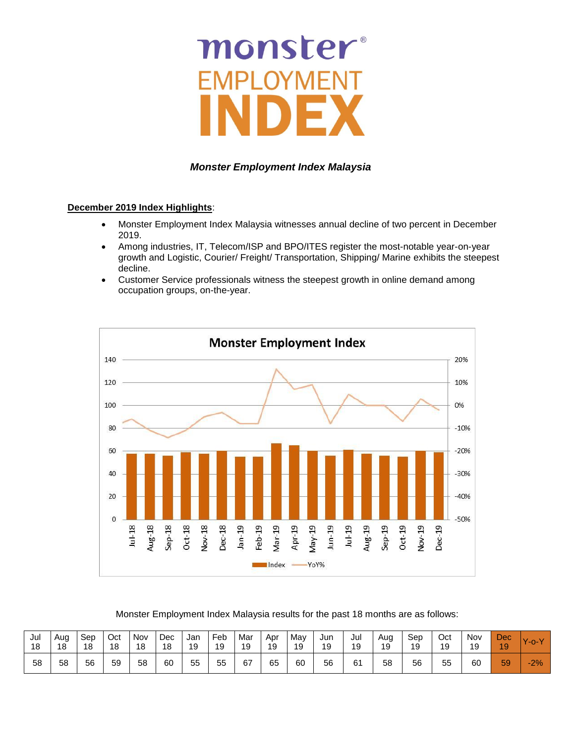# monster **AFI**

## *Monster Employment Index Malaysia*

#### **December 2019 Index Highlights**:

- Monster Employment Index Malaysia witnesses annual decline of two percent in December 2019.
- Among industries, IT, Telecom/ISP and BPO/ITES register the most-notable year-on-year growth and Logistic, Courier/ Freight/ Transportation, Shipping/ Marine exhibits the steepest decline.
- Customer Service professionals witness the steepest growth in online demand among occupation groups, on-the-year.



Monster Employment Index Malaysia results for the past 18 months are as follows:

| Jul | Aua | Sep | Oct | Nov | Dec | Jan | Feb | Mar | Apr | May | Jun | Jul | Aug | Sep | Oct | Nov | <b>Dec</b> | $\mathbf{v}$ |
|-----|-----|-----|-----|-----|-----|-----|-----|-----|-----|-----|-----|-----|-----|-----|-----|-----|------------|--------------|
| 18  | 18  | 18  | 18  | 18  | 18  | 19  | 19  | 19  | 19  | 19  | 19  | 19  | 19  | 19  | 19  | 19  | 19         | $-0-V$       |
| 58  | 58  | 56  | 59  | 58  | 60  | 55  | 55  | 67  | 65  | 60  | 56  | 61  | 58  | 56  | 55  | 60  | 59         | $-2%$        |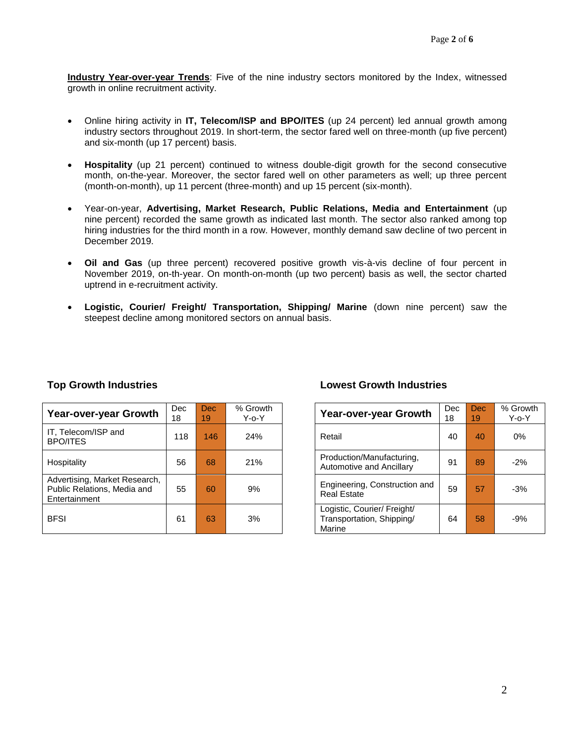**Industry Year-over-year Trends**: Five of the nine industry sectors monitored by the Index, witnessed growth in online recruitment activity.

- Online hiring activity in **IT, Telecom/ISP and BPO/ITES** (up 24 percent) led annual growth among industry sectors throughout 2019. In short-term, the sector fared well on three-month (up five percent) and six-month (up 17 percent) basis.
- **Hospitality** (up 21 percent) continued to witness double-digit growth for the second consecutive month, on-the-year. Moreover, the sector fared well on other parameters as well; up three percent (month-on-month), up 11 percent (three-month) and up 15 percent (six-month).
- Year-on-year, **Advertising, Market Research, Public Relations, Media and Entertainment** (up nine percent) recorded the same growth as indicated last month. The sector also ranked among top hiring industries for the third month in a row. However, monthly demand saw decline of two percent in December 2019.
- **Oil and Gas** (up three percent) recovered positive growth vis-à-vis decline of four percent in November 2019, on-th-year. On month-on-month (up two percent) basis as well, the sector charted uptrend in e-recruitment activity.
- **Logistic, Courier/ Freight/ Transportation, Shipping/ Marine** (down nine percent) saw the steepest decline among monitored sectors on annual basis.

| Year-over-year Growth                                                         | <b>Dec</b><br>18 | <b>Dec</b><br>19 | % Growth<br>$Y$ -o- $Y$ | Year-over-year Growth                                              | <b>Dec</b><br>18 | <b>Dec</b><br>19 <sup>1</sup> | % Gro<br>Y-o- |
|-------------------------------------------------------------------------------|------------------|------------------|-------------------------|--------------------------------------------------------------------|------------------|-------------------------------|---------------|
| IT, Telecom/ISP and<br><b>BPO/ITES</b>                                        | 118              | 146              | 24%                     | Retail                                                             | 40               | 40                            | 0%            |
| Hospitality                                                                   | 56               | 68               | 21%                     | Production/Manufacturing,<br>Automotive and Ancillary              | 91               | 89                            | $-2%$         |
| Advertising, Market Research,<br>Public Relations, Media and<br>Entertainment | 55               | 60               | 9%                      | Engineering, Construction and<br><b>Real Estate</b>                | 59               | 57                            | $-3%$         |
| <b>BFSI</b>                                                                   | 61               | 63               | 3%                      | Logistic, Courier/ Freight/<br>Transportation, Shipping/<br>Marine | 64               | 58                            | $-9%$         |

#### **Top Growth Industries Lowest Growth Industries**

| ec<br>8 | <b>Dec</b><br>19 | % Growth<br>$Y$ -o- $Y$ | Year-over-year Growth                                              | Dec<br>18 | <b>Dec</b><br>19 | % Growth<br>$Y$ -o- $Y$ |
|---------|------------------|-------------------------|--------------------------------------------------------------------|-----------|------------------|-------------------------|
| 118     | 146              | 24%                     | Retail                                                             | 40        | 40               | $0\%$                   |
| 56      | 68               | 21%                     | Production/Manufacturing,<br>Automotive and Ancillary              | 91        | 89               | $-2%$                   |
| 55      | 60               | 9%                      | Engineering, Construction and<br><b>Real Estate</b>                | 59        | 57               | $-3%$                   |
| 61      | 63               | 3%                      | Logistic, Courier/ Freight/<br>Transportation, Shipping/<br>Marine | 64        | 58               | $-9%$                   |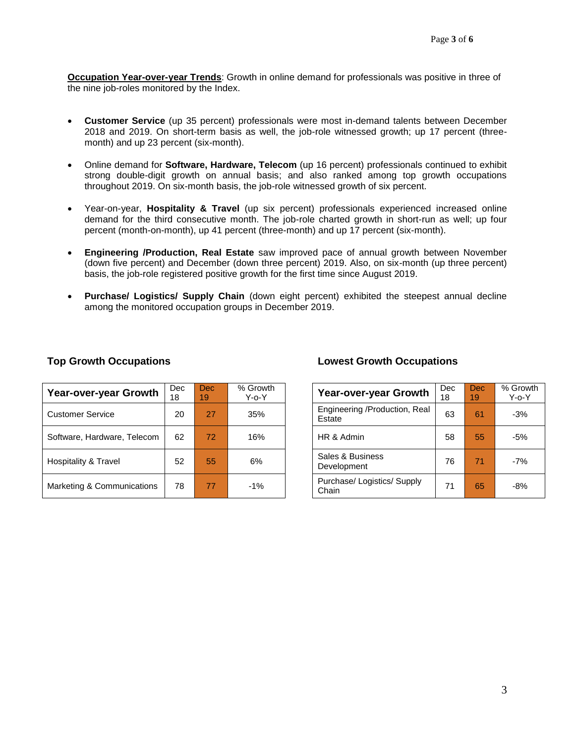**Occupation Year-over-year Trends**: Growth in online demand for professionals was positive in three of the nine job-roles monitored by the Index.

- **Customer Service** (up 35 percent) professionals were most in-demand talents between December 2018 and 2019. On short-term basis as well, the job-role witnessed growth; up 17 percent (threemonth) and up 23 percent (six-month).
- Online demand for **Software, Hardware, Telecom** (up 16 percent) professionals continued to exhibit strong double-digit growth on annual basis; and also ranked among top growth occupations throughout 2019. On six-month basis, the job-role witnessed growth of six percent.
- Year-on-year, **Hospitality & Travel** (up six percent) professionals experienced increased online demand for the third consecutive month. The job-role charted growth in short-run as well; up four percent (month-on-month), up 41 percent (three-month) and up 17 percent (six-month).
- **Engineering /Production, Real Estate** saw improved pace of annual growth between November (down five percent) and December (down three percent) 2019. Also, on six-month (up three percent) basis, the job-role registered positive growth for the first time since August 2019.
- **Purchase/ Logistics/ Supply Chain** (down eight percent) exhibited the steepest annual decline among the monitored occupation groups in December 2019.

| Year-over-year Growth       | Dec<br>18 | <b>Dec</b><br>19 | % Growth<br>Y-o-Y | Year-over-year Growth                   | Dec<br>18 | <b>Dec</b><br>19 <sup>1</sup> | % Grov<br>Y-o-` |
|-----------------------------|-----------|------------------|-------------------|-----------------------------------------|-----------|-------------------------------|-----------------|
| <b>Customer Service</b>     | 20        | 27               | 35%               | Engineering /Production, Real<br>Estate | 63        | 61                            | $-3%$           |
| Software, Hardware, Telecom | 62        | 72               | 16%               | HR & Admin                              | 58        | 55                            | $-5%$           |
| Hospitality & Travel        | 52        | 55               | 6%                | Sales & Business<br>Development         | 76        | 71                            | $-7%$           |
| Marketing & Communications  | 78        | 77               | $-1%$             | Purchase/ Logistics/ Supply<br>Chain    | 71        | 65                            | $-8%$           |

#### **Top Growth Occupations Lowest Growth Occupations**

| <b>Year-over-year Growth</b>            | Dec<br>18 | Dec<br>19 | % Growth<br>Y-o-Y |
|-----------------------------------------|-----------|-----------|-------------------|
| Engineering /Production, Real<br>Estate | 63        | 61        | $-3%$             |
| HR & Admin                              | 58        | 55        | -5%               |
| Sales & Business<br>Development         | 76        | 71        | $-7%$             |
| Purchase/Logistics/Supply<br>Chain      | 71        | 65        | -8%               |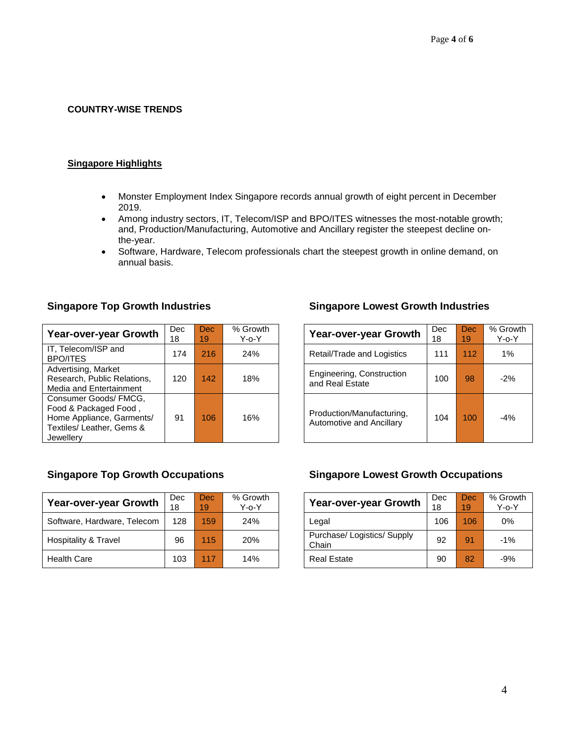#### **COUNTRY-WISE TRENDS**

#### **Singapore Highlights**

- Monster Employment Index Singapore records annual growth of eight percent in December 2019.
- Among industry sectors, IT, Telecom/ISP and BPO/ITES witnesses the most-notable growth; and, Production/Manufacturing, Automotive and Ancillary register the steepest decline onthe-year.
- Software, Hardware, Telecom professionals chart the steepest growth in online demand, on annual basis.

| Year-over-year Growth                                                                                                 | <b>Dec</b><br>18 | Dec.<br>19 | % Growth<br>$Y$ -o- $Y$ | Year-over-year Growth                                 | <b>Dec</b><br>18 | <b>Dec</b><br>19 | % Gro<br>$Y$ -o- |
|-----------------------------------------------------------------------------------------------------------------------|------------------|------------|-------------------------|-------------------------------------------------------|------------------|------------------|------------------|
| IT, Telecom/ISP and<br><b>BPO/ITES</b>                                                                                | 174              | 216        | 24%                     | Retail/Trade and Logistics                            | 111              | 112              | 1%               |
| Advertising, Market<br>Research, Public Relations,<br>Media and Entertainment                                         | 120              | 142        | 18%                     | Engineering, Construction<br>and Real Estate          | 100              | 98               | $-2%$            |
| Consumer Goods/ FMCG,<br>Food & Packaged Food,<br>Home Appliance, Garments/<br>Textiles/ Leather, Gems &<br>Jewellerv | 91               | 106        | 16%                     | Production/Manufacturing,<br>Automotive and Ancillary | 104              | 100              | $-4%$            |

## **Singapore Top Growth Industries Singapore Lowest Growth Industries**

| <b>Year-over-year Growth</b>                          | Dec<br>18 | <b>Dec</b><br>19 | % Growth<br>Y-o-Y |
|-------------------------------------------------------|-----------|------------------|-------------------|
| Retail/Trade and Logistics                            | 111       | 112              | 1%                |
| Engineering, Construction<br>and Real Estate          | 100       | 98               | $-2%$             |
| Production/Manufacturing,<br>Automotive and Ancillary | 104       | 100              | $-4%$             |

| Year-over-year Growth       | Dec<br>18 | Dec:<br>19 | % Growth<br>Y-o-Y | Year-over-year Growth              | Dec<br>18 | <b>Dec</b><br>19 | % Grov<br>Y-o-` |
|-----------------------------|-----------|------------|-------------------|------------------------------------|-----------|------------------|-----------------|
| Software, Hardware, Telecom | 128       | 159        | 24%               | Legal                              | 106       | 106              | 0%              |
| Hospitality & Travel        | 96        | 115        | 20%               | Purchase/Logistics/Supply<br>Chain | 92        | 91               | $-1%$           |
| <b>Health Care</b>          | 103       | 117        | 14%               | <b>Real Estate</b>                 | 90        | 82               | $-9%$           |

## **Singapore Top Growth Occupations Singapore Lowest Growth Occupations**

| <b>Year-over-year Growth</b>         | Dec<br>18 | <b>Dec</b><br>19 | % Growth<br>$Y$ -o- $Y$ |
|--------------------------------------|-----------|------------------|-------------------------|
| Legal                                | 106       | 106              | 0%                      |
| Purchase/ Logistics/ Supply<br>Chain | 92        | 91               | $-1%$                   |
| <b>Real Estate</b>                   | 90        | 82               | $-9%$                   |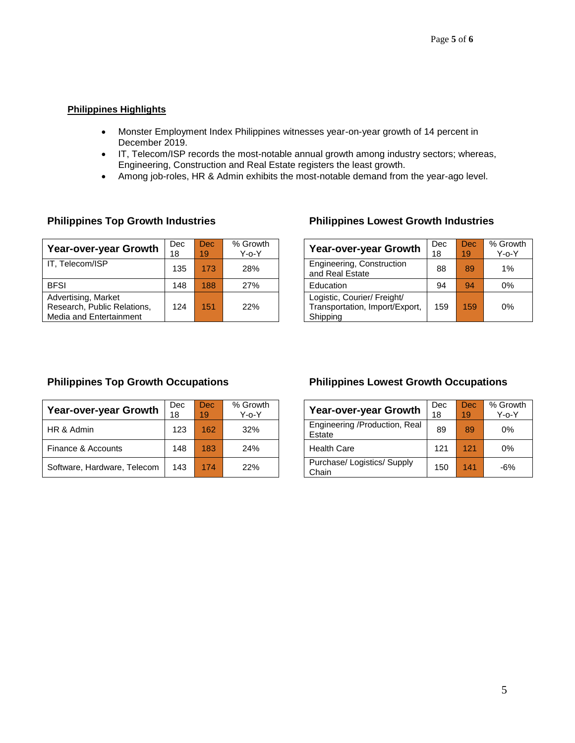### **Philippines Highlights**

- Monster Employment Index Philippines witnesses year-on-year growth of 14 percent in December 2019.
- IT, Telecom/ISP records the most-notable annual growth among industry sectors; whereas, Engineering, Construction and Real Estate registers the least growth.
- Among job-roles, HR & Admin exhibits the most-notable demand from the year-ago level.

| Year-over-year Growth                                                         | <b>Dec</b><br>18 | Dec.<br>19 | % Growth<br>$Y$ -o- $Y$ | Year-over-year Growth                                                     | Dec<br>18 | Dec.<br>19 | % Gro<br>Y-0- |
|-------------------------------------------------------------------------------|------------------|------------|-------------------------|---------------------------------------------------------------------------|-----------|------------|---------------|
| IT, Telecom/ISP                                                               | 135              | 173        | 28%                     | Engineering, Construction<br>and Real Estate                              | 88        | 89         | 1%            |
| <b>BFSI</b>                                                                   | 148              | 188        | 27%                     | Education                                                                 | 94        | 94         | 0%            |
| Advertising, Market<br>Research, Public Relations,<br>Media and Entertainment | 124              | 151        | 22%                     | Logistic, Courier/ Freight/<br>Transportation, Import/Export,<br>Shipping | 159       | 159        | 0%            |

## **Philippines Top Growth Industries Philippines Lowest Growth Industries**

| <b>Year-over-year Growth</b>                                              | Dec | Dec | % Growth    |
|---------------------------------------------------------------------------|-----|-----|-------------|
|                                                                           | 18  | 19  | $Y$ -o- $Y$ |
| Engineering, Construction<br>and Real Estate                              | 88  | 89  | 1%          |
| Education                                                                 | 94  | 94  | 0%          |
| Logistic, Courier/ Freight/<br>Transportation, Import/Export,<br>Shipping | 159 | 159 | 0%          |

| <b>Year-over-year Growth</b> | Dec<br>18 | Dec.<br>19 | % Growth<br>$Y$ -o- $Y$ | <b>Year-over-year Growth</b>            | Dec<br>18 | Dec <sup>1</sup><br>19 | % Gro<br>Y-0- |
|------------------------------|-----------|------------|-------------------------|-----------------------------------------|-----------|------------------------|---------------|
| HR & Admin                   | 123       | 162        | 32%                     | Engineering /Production, Real<br>Estate | 89        | 89                     | 0%            |
| Finance & Accounts           | 148       | 183        | 24%                     | <b>Health Care</b>                      | 121       | 121                    | 0%            |
| Software, Hardware, Telecom  | 143       | 174        | 22%                     | Purchase/ Logistics/ Supply<br>Chain    | 150       | 141                    | $-6%$         |

## **Philippines Top Growth Occupations Philippines Lowest Growth Occupations**

| <b>Year-over-year Growth</b>            | Dec<br>18 | Dec<br>19 | % Growth<br>Y-o-Y |  |  |
|-----------------------------------------|-----------|-----------|-------------------|--|--|
| Engineering /Production, Real<br>Estate | 89        | 89        | 0%                |  |  |
| <b>Health Care</b>                      | 121       | 121       | $0\%$             |  |  |
| Purchase/Logistics/Supply<br>Chain      | 150       | 141       | -6%               |  |  |